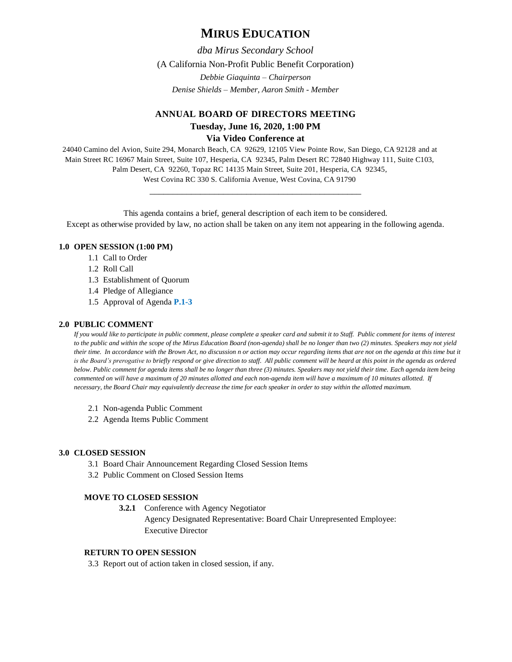# **MIRUS EDUCATION**

*dba Mirus Secondary School*

(A California Non-Profit Public Benefit Corporation)

*Debbie Giaquinta – Chairperson Denise Shields – Member, Aaron Smith - Member*

# **ANNUAL BOARD OF DIRECTORS MEETING Tuesday, June 16, 2020, 1:00 PM Via Video Conference at**

24040 Camino del Avion, Suite 294, Monarch Beach, CA 92629, 12105 View Pointe Row, San Diego, CA 92128 and at Main Street RC 16967 Main Street, Suite 107, Hesperia, CA 92345, Palm Desert RC 72840 Highway 111, Suite C103, Palm Desert, CA 92260, Topaz RC 14135 Main Street, Suite 201, Hesperia, CA 92345, West Covina RC 330 S. California Avenue, West Covina, CA 91790

This agenda contains a brief, general description of each item to be considered. Except as otherwise provided by law, no action shall be taken on any item not appearing in the following agenda.

\_\_\_\_\_\_\_\_\_\_\_\_\_\_\_\_\_\_\_\_\_\_\_\_\_\_\_\_\_\_\_\_\_\_\_\_\_\_\_\_\_\_\_\_\_\_

# **1.0 OPEN SESSION (1:00 PM)**

- 1.1 Call to Order
- 1.2 Roll Call
- 1.3 Establishment of Quorum
- 1.4 Pledge of Allegiance
- 1.5 Approval of Agenda **P.1-3**

# **2.0 PUBLIC COMMENT**

*If you would like to participate in public comment, please complete a speaker card and submit it to Staff. Public comment for items of interest to the public and within the scope of the Mirus Education Board (non-agenda) shall be no longer than two (2) minutes. Speakers may not yield their time. In accordance with the Brown Act, no discussion n or action may occur regarding items that are not on the agenda at this time but it*  is the Board's prerogative to briefly respond or give direction to staff. All public comment will be heard at this point in the agenda as ordered *below. Public comment for agenda items shall be no longer than three (3) minutes. Speakers may not yield their time. Each agenda item being commented on will have a maximum of 20 minutes allotted and each non-agenda item will have a maximum of 10 minutes allotted. If necessary, the Board Chair may equivalently decrease the time for each speaker in order to stay within the allotted maximum.*

- 2.1 Non-agenda Public Comment
- 2.2 Agenda Items Public Comment

# **3.0 CLOSED SESSION**

- 3.1 Board Chair Announcement Regarding Closed Session Items
- 3.2 Public Comment on Closed Session Items

# **MOVE TO CLOSED SESSION**

**3.2.1** Conference with Agency Negotiator Agency Designated Representative: Board Chair Unrepresented Employee: Executive Director

# **RETURN TO OPEN SESSION**

3.3 Report out of action taken in closed session, if any.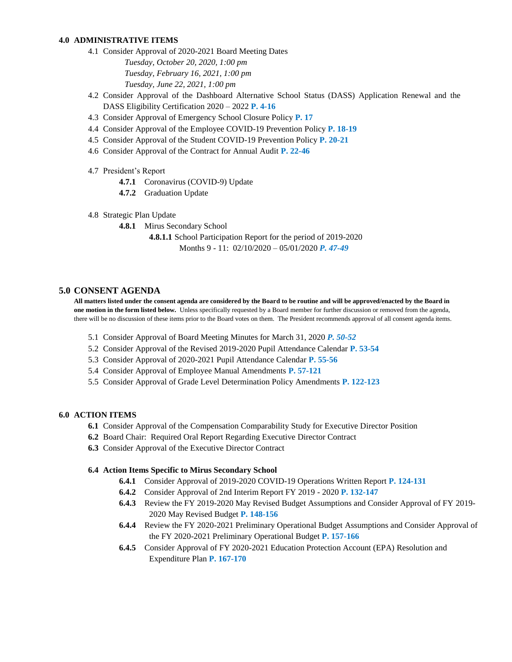### **4.0 ADMINISTRATIVE ITEMS**

- 4.1 Consider Approval of 2020-2021 Board Meeting Dates *Tuesday, October 20, 2020, 1:00 pm Tuesday, February 16, 2021, 1:00 pm Tuesday, June 22, 2021, 1:00 pm*
- 4.2 Consider Approval of the Dashboard Alternative School Status (DASS) Application Renewal and the DASS Eligibility Certification 2020 – 2022 **P. 4-16**
- 4.3 Consider Approval of Emergency School Closure Policy **P. 17**
- 4.4 Consider Approval of the Employee COVID-19 Prevention Policy **P. 18-19**
- 4.5 Consider Approval of the Student COVID-19 Prevention Policy **P. 20-21**
- 4.6 Consider Approval of the Contract for Annual Audit **P. 22-46**
- 4.7 President's Report
	- **4.7.1** Coronavirus (COVID-9) Update
	- **4.7.2** Graduation Update
- 4.8 Strategic Plan Update
	- **4.8.1** Mirus Secondary School
		- **4.8.1.1** School Participation Report for the period of 2019-2020 Months 9 - 11: 02/10/2020 – 05/01/2020 *P. 47-49*

# **5.0 CONSENT AGENDA**

**All matters listed under the consent agenda are considered by the Board to be routine and will be approved/enacted by the Board in one motion in the form listed below.** Unless specifically requested by a Board member for further discussion or removed from the agenda, there will be no discussion of these items prior to the Board votes on them. The President recommends approval of all consent agenda items.

- 5.1 Consider Approval of Board Meeting Minutes for March 31, 2020 *P. 50-52*
- 5.2 Consider Approval of the Revised 2019-2020 Pupil Attendance Calendar **P. 53-54**
- 5.3 Consider Approval of 2020-2021 Pupil Attendance Calendar **P. 55-56**
- 5.4 Consider Approval of Employee Manual Amendments **P. 57-121**
- 5.5 Consider Approval of Grade Level Determination Policy Amendments **P. 122-123**

### **6.0 ACTION ITEMS**

- **6.1** Consider Approval of the Compensation Comparability Study for Executive Director Position
- **6.2** Board Chair: Required Oral Report Regarding Executive Director Contract
- **6.3** Consider Approval of the Executive Director Contract

### **6.4 Action Items Specific to Mirus Secondary School**

- **6.4.1** Consider Approval of 2019-2020 COVID-19 Operations Written Report **P. 124-131**
- **6.4.2** Consider Approval of 2nd Interim Report FY 2019 2020 **P. 132-147**
- **6.4.3** Review the FY 2019-2020 May Revised Budget Assumptions and Consider Approval of FY 2019- 2020 May Revised Budget **P. 148-156**
- **6.4.4** Review the FY 2020-2021 Preliminary Operational Budget Assumptions and Consider Approval of the FY 2020-2021 Preliminary Operational Budget **P. 157-166**
- **6.4.5** Consider Approval of FY 2020-2021 Education Protection Account (EPA) Resolution and Expenditure Plan **P. 167-170**